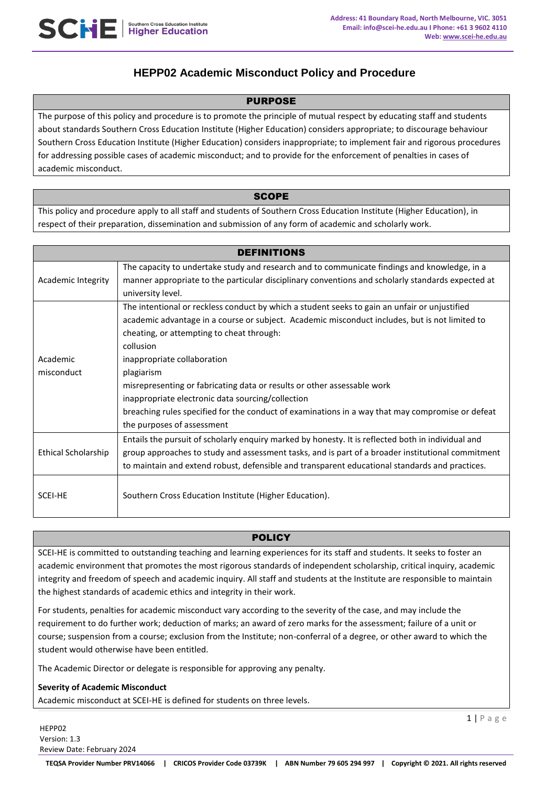# **HEPP02 Academic Misconduct Policy and Procedure**

## PURPOSE

The purpose of this policy and procedure is to promote the principle of mutual respect by educating staff and students about standards Southern Cross Education Institute (Higher Education) considers appropriate; to discourage behaviour Southern Cross Education Institute (Higher Education) considers inappropriate; to implement fair and rigorous procedures for addressing possible cases of academic misconduct; and to provide for the enforcement of penalties in cases of academic misconduct.

## **SCOPE**

This policy and procedure apply to all staff and students of Southern Cross Education Institute (Higher Education), in respect of their preparation, dissemination and submission of any form of academic and scholarly work.

| <b>DEFINITIONS</b>         |                                                                                                    |
|----------------------------|----------------------------------------------------------------------------------------------------|
| Academic Integrity         | The capacity to undertake study and research and to communicate findings and knowledge, in a       |
|                            | manner appropriate to the particular disciplinary conventions and scholarly standards expected at  |
|                            | university level.                                                                                  |
|                            | The intentional or reckless conduct by which a student seeks to gain an unfair or unjustified      |
|                            | academic advantage in a course or subject. Academic misconduct includes, but is not limited to     |
|                            | cheating, or attempting to cheat through:                                                          |
|                            | collusion                                                                                          |
| Academic                   | inappropriate collaboration                                                                        |
| misconduct                 | plagiarism                                                                                         |
|                            | misrepresenting or fabricating data or results or other assessable work                            |
|                            | inappropriate electronic data sourcing/collection                                                  |
|                            | breaching rules specified for the conduct of examinations in a way that may compromise or defeat   |
|                            | the purposes of assessment                                                                         |
| <b>Ethical Scholarship</b> | Entails the pursuit of scholarly enquiry marked by honesty. It is reflected both in individual and |
|                            | group approaches to study and assessment tasks, and is part of a broader institutional commitment  |
|                            | to maintain and extend robust, defensible and transparent educational standards and practices.     |
| SCEI-HE                    | Southern Cross Education Institute (Higher Education).                                             |
|                            |                                                                                                    |

# POLICY

SCEI-HE is committed to outstanding teaching and learning experiences for its staff and students. It seeks to foster an academic environment that promotes the most rigorous standards of independent scholarship, critical inquiry, academic integrity and freedom of speech and academic inquiry. All staff and students at the Institute are responsible to maintain the highest standards of academic ethics and integrity in their work.

For students, penalties for academic misconduct vary according to the severity of the case, and may include the requirement to do further work; deduction of marks; an award of zero marks for the assessment; failure of a unit or course; suspension from a course; exclusion from the Institute; non-conferral of a degree, or other award to which the student would otherwise have been entitled.

The Academic Director or delegate is responsible for approving any penalty.

## **Severity of Academic Misconduct**

Academic misconduct at SCEI-HE is defined for students on three levels.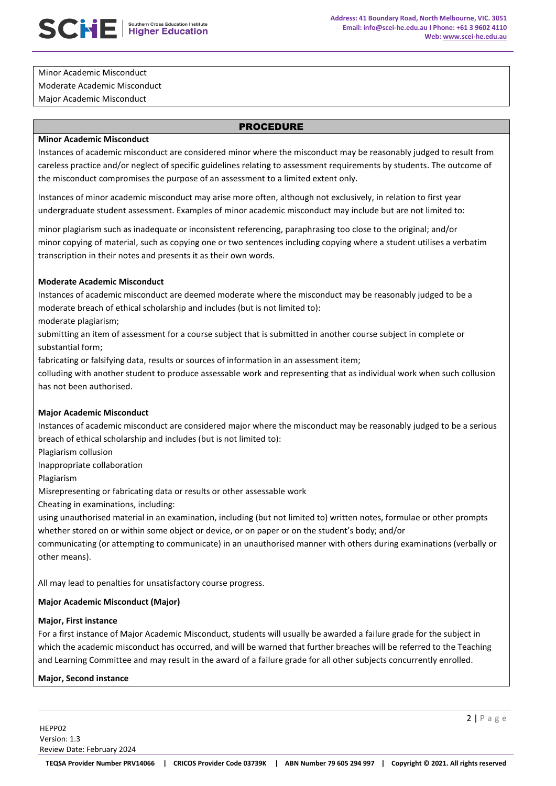1. Minor Academic Misconduct 2. Moderate Academic Misconduct 3. Major Academic Misconduct

## PROCEDURE

#### **Minor Academic Misconduct**

Instances of academic misconduct are considered minor where the misconduct may be reasonably judged to result from careless practice and/or neglect of specific guidelines relating to assessment requirements by students. The outcome of the misconduct compromises the purpose of an assessment to a limited extent only.

Instances of minor academic misconduct may arise more often, although not exclusively, in relation to first year undergraduate student assessment. Examples of minor academic misconduct may include but are not limited to:

minor plagiarism such as inadequate or inconsistent referencing, paraphrasing too close to the original; and/or minor copying of material, such as copying one or two sentences including copying where a student utilises a verbatim transcription in their notes and presents it as their own words.

## **Moderate Academic Misconduct**

Instances of academic misconduct are deemed moderate where the misconduct may be reasonably judged to be a moderate breach of ethical scholarship and includes (but is not limited to):

moderate plagiarism;

submitting an item of assessment for a course subject that is submitted in another course subject in complete or substantial form;

fabricating or falsifying data, results or sources of information in an assessment item;

colluding with another student to produce assessable work and representing that as individual work when such collusion has not been authorised.

## **Major Academic Misconduct**

Instances of academic misconduct are considered major where the misconduct may be reasonably judged to be a serious breach of ethical scholarship and includes (but is not limited to):

Plagiarism collusion

Inappropriate collaboration

Plagiarism

Misrepresenting or fabricating data or results or other assessable work

Cheating in examinations, including:

using unauthorised material in an examination, including (but not limited to) written notes, formulae or other prompts whether stored on or within some object or device, or on paper or on the student's body; and/or

b. communicating (or attempting to communicate) in an unauthorised manner with others during examinations (verbally or other means).

All may lead to penalties for unsatisfactory course progress.

# **Major Academic Misconduct (Major)**

## **Major, First instance**

For a first instance of Major Academic Misconduct, students will usually be awarded a failure grade for the subject in which the academic misconduct has occurred, and will be warned that further breaches will be referred to the Teaching and Learning Committee and may result in the award of a failure grade for all other subjects concurrently enrolled.

## **Major, Second instance**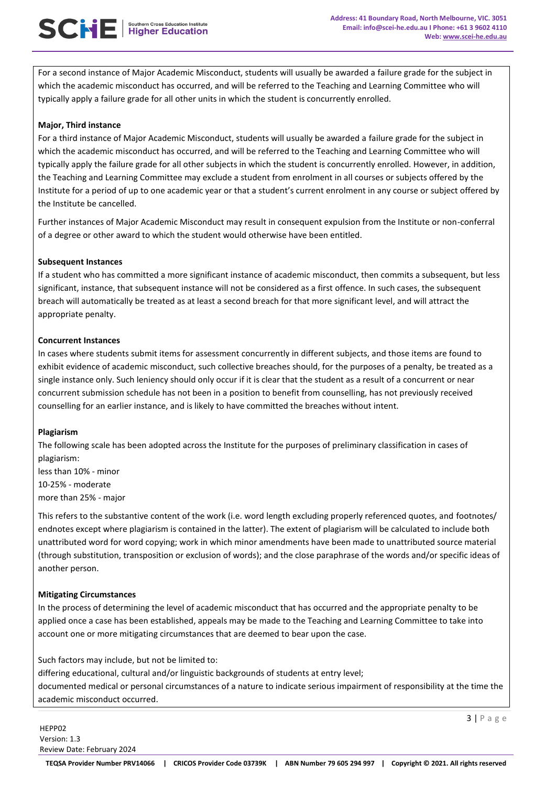For a second instance of Major Academic Misconduct, students will usually be awarded a failure grade for the subject in which the academic misconduct has occurred, and will be referred to the Teaching and Learning Committee who will typically apply a failure grade for all other units in which the student is concurrently enrolled.

## **Major, Third instance**

For a third instance of Major Academic Misconduct, students will usually be awarded a failure grade for the subject in which the academic misconduct has occurred, and will be referred to the Teaching and Learning Committee who will typically apply the failure grade for all other subjects in which the student is concurrently enrolled. However, in addition, the Teaching and Learning Committee may exclude a student from enrolment in all courses or subjects offered by the Institute for a period of up to one academic year or that a student's current enrolment in any course or subject offered by the Institute be cancelled.

Further instances of Major Academic Misconduct may result in consequent expulsion from the Institute or non-conferral of a degree or other award to which the student would otherwise have been entitled.

## **Subsequent Instances**

If a student who has committed a more significant instance of academic misconduct, then commits a subsequent, but less significant, instance, that subsequent instance will not be considered as a first offence. In such cases, the subsequent breach will automatically be treated as at least a second breach for that more significant level, and will attract the appropriate penalty.

## **Concurrent Instances**

In cases where students submit items for assessment concurrently in different subjects, and those items are found to exhibit evidence of academic misconduct, such collective breaches should, for the purposes of a penalty, be treated as a single instance only. Such leniency should only occur if it is clear that the student as a result of a concurrent or near concurrent submission schedule has not been in a position to benefit from counselling, has not previously received counselling for an earlier instance, and is likely to have committed the breaches without intent.

# **Plagiarism**

The following scale has been adopted across the Institute for the purposes of preliminary classification in cases of plagiarism:

less than 10% - minor ● 10-25% - moderate more than 25% - major

This refers to the substantive content of the work (i.e. word length excluding properly referenced quotes, and footnotes/ endnotes except where plagiarism is contained in the latter). The extent of plagiarism will be calculated to include both unattributed word for word copying; work in which minor amendments have been made to unattributed source material (through substitution, transposition or exclusion of words); and the close paraphrase of the words and/or specific ideas of another person.

# **Mitigating Circumstances**

In the process of determining the level of academic misconduct that has occurred and the appropriate penalty to be applied once a case has been established, appeals may be made to the Teaching and Learning Committee to take into account one or more mitigating circumstances that are deemed to bear upon the case.

Such factors may include, but not be limited to:

differing educational, cultural and/or linguistic backgrounds of students at entry level; documented medical or personal circumstances of a nature to indicate serious impairment of responsibility at the time the academic misconduct occurred.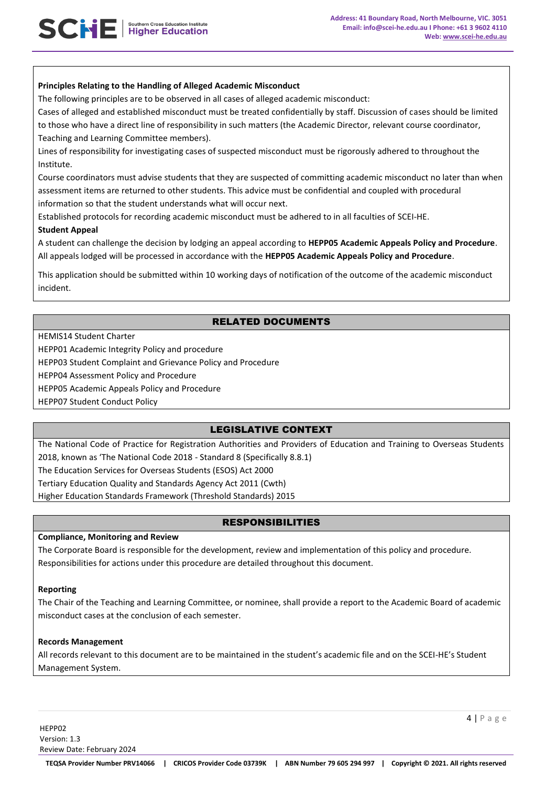## **Principles Relating to the Handling of Alleged Academic Misconduct**

The following principles are to be observed in all cases of alleged academic misconduct:

Cases of alleged and established misconduct must be treated confidentially by staff. Discussion of cases should be limited

to those who have a direct line of responsibility in such matters (the Academic Director, relevant course coordinator, Teaching and Learning Committee members).

Lines of responsibility for investigating cases of suspected misconduct must be rigorously adhered to throughout the Institute.

Course coordinators must advise students that they are suspected of committing academic misconduct no later than when assessment items are returned to other students. This advice must be confidential and coupled with procedural information so that the student understands what will occur next.

Established protocols for recording academic misconduct must be adhered to in all faculties of SCEI-HE.

## **Student Appeal**

A student can challenge the decision by lodging an appeal according to **HEPP05 Academic Appeals Policy and Procedure**. All appeals lodged will be processed in accordance with the **HEPP05 Academic Appeals Policy and Procedure**.

This application should be submitted within 10 working days of notification of the outcome of the academic misconduct incident.

# RELATED DOCUMENTS

HEMIS14 Student Charter

HEPP01 Academic Integrity Policy and procedure

HEPP03 Student Complaint and Grievance Policy and Procedure

HEPP04 Assessment Policy and Procedure

HEPP05 Academic Appeals Policy and Procedure

HEPP07 Student Conduct Policy

# LEGISLATIVE CONTEXT

The National Code of Practice for Registration Authorities and Providers of Education and Training to Overseas Students 2018, known as 'The National Code 2018 - Standard 8 (Specifically 8.8.1) The Education Services for Overseas Students (ESOS) Act 2000 Tertiary Education Quality and Standards Agency Act 2011 (Cwth)

Higher Education Standards Framework (Threshold Standards) 2015

# RESPONSIBILITIES

## **Compliance, Monitoring and Review**

The Corporate Board is responsible for the development, review and implementation of this policy and procedure. Responsibilities for actions under this procedure are detailed throughout this document.

## **Reporting**

The Chair of the Teaching and Learning Committee, or nominee, shall provide a report to the Academic Board of academic misconduct cases at the conclusion of each semester.

#### **Records Management**

All records relevant to this document are to be maintained in the student's academic file and on the SCEI-HE's Student Management System.